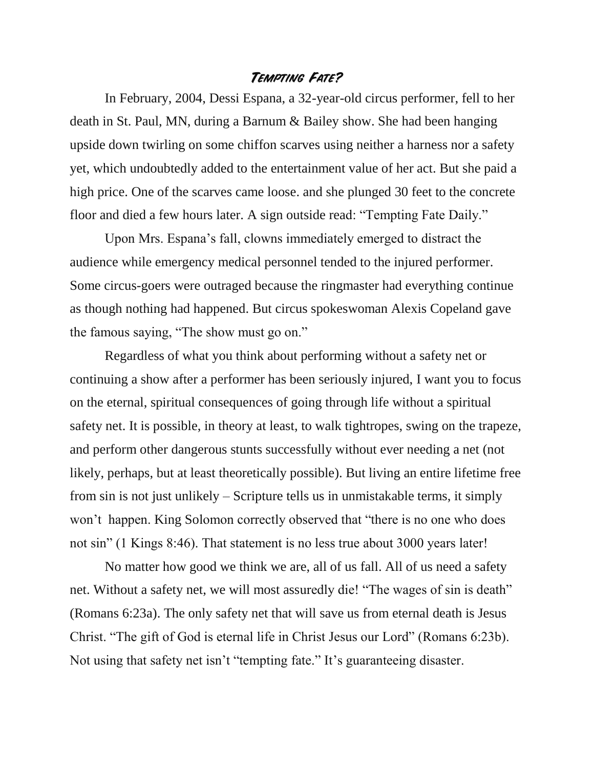## **Tempting Fate?**

In February, 2004, Dessi Espana, a 32-year-old circus performer, fell to her death in St. Paul, MN, during a Barnum & Bailey show. She had been hanging upside down twirling on some chiffon scarves using neither a harness nor a safety yet, which undoubtedly added to the entertainment value of her act. But she paid a high price. One of the scarves came loose. and she plunged 30 feet to the concrete floor and died a few hours later. A sign outside read: "Tempting Fate Daily."

Upon Mrs. Espana's fall, clowns immediately emerged to distract the audience while emergency medical personnel tended to the injured performer. Some circus-goers were outraged because the ringmaster had everything continue as though nothing had happened. But circus spokeswoman Alexis Copeland gave the famous saying, "The show must go on."

Regardless of what you think about performing without a safety net or continuing a show after a performer has been seriously injured, I want you to focus on the eternal, spiritual consequences of going through life without a spiritual safety net. It is possible, in theory at least, to walk tightropes, swing on the trapeze, and perform other dangerous stunts successfully without ever needing a net (not likely, perhaps, but at least theoretically possible). But living an entire lifetime free from sin is not just unlikely – Scripture tells us in unmistakable terms, it simply won't happen. King Solomon correctly observed that "there is no one who does not sin" (1 Kings 8:46). That statement is no less true about 3000 years later!

No matter how good we think we are, all of us fall. All of us need a safety net. Without a safety net, we will most assuredly die! "The wages of sin is death" (Romans 6:23a). The only safety net that will save us from eternal death is Jesus Christ. "The gift of God is eternal life in Christ Jesus our Lord" (Romans 6:23b). Not using that safety net isn't "tempting fate." It's guaranteeing disaster.